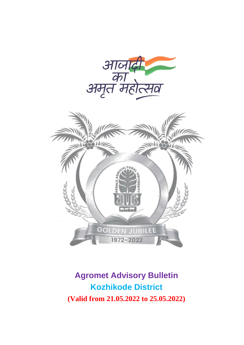

## **Agromet Advisory Bulletin Kozhikode District (Valid from 21.05.2022 to 25.05.2022)**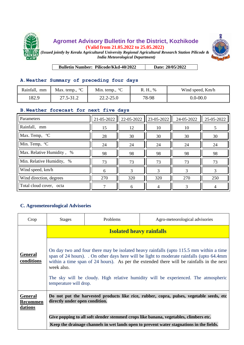



**Bulletin Number: Pilicode/Kkd-40/2022 Date: 20/05/2022**

## **A.Weather Summary of preceding four days**

| Rainfall,<br>mm | Max. temp., $^{\circ}C$ | Min. temp., $^{\circ}C$ | R. H., % | Wind speed, Km/h |
|-----------------|-------------------------|-------------------------|----------|------------------|
| 182.9           | 27.5-31.2               | $22.2 - 25.0$           | 78-98    | $0.0 - 00.0$     |

## **B.Weather forecast for next five days**

| Parameters                                                 | 21-05-2022 | 22-05-2022 | 23-05-2022 | 24-05-2022 | 25-05-2022 |
|------------------------------------------------------------|------------|------------|------------|------------|------------|
| Rainfall, mm                                               | 15         | 12         | 10         | 10         |            |
| $\sqrt{\text{Max}}$ . Temp, $\degree$ C                    | 28         | 30         | 30         | 30         | 30         |
| $\overline{\text{Min}}$ . Temp, $\text{O}^{\circ}\text{C}$ | 24         | 24         | 24         | 24         | 24         |
| Max. Relative Humidity, %                                  | 98         | 98         | 98         | 98         | 98         |
| Min. Relative Humidity, %                                  | 73         | 73         | 73         | 73         | 73         |
| Wind speed, km/h                                           | 6          | 3          | 3          |            |            |
| Wind direction, degrees                                    | 270        | 320        | 320        | 270        | 250        |
| Total cloud cover, octa                                    | 7          | 6          |            |            |            |

## **C. Agrometeorological Advisories**

| Crop                                         | <b>Stages</b>                                                                                                                                                                                                                                                                                                                                                                                                | Problems | Agro-meteorological advisories |  |  |
|----------------------------------------------|--------------------------------------------------------------------------------------------------------------------------------------------------------------------------------------------------------------------------------------------------------------------------------------------------------------------------------------------------------------------------------------------------------------|----------|--------------------------------|--|--|
|                                              | <b>Isolated heavy rainfalls</b>                                                                                                                                                                                                                                                                                                                                                                              |          |                                |  |  |
| <b>General</b><br>conditions                 | On day two and four there may be isolated heavy rainfalls (upto 115.5 mm within a time<br>span of 24 hours). On other days here will be light to moderate rainfalls (upto 64.4mm)<br>within a time span of 24 hours). As per the extended there will be rainfalls in the next<br>week also.<br>The sky will be cloudy. High relative humidity will be experienced. The atmospheric<br>temperature will drop. |          |                                |  |  |
| <b>General</b><br><b>Recommen</b><br>dations | Do not put the harvested products like rice, rubber, copra, pulses, vegetable seeds, etc<br>directly under open condition.                                                                                                                                                                                                                                                                                   |          |                                |  |  |
|                                              | Give popping to all soft slender stemmed crops like banana, vegetables, climbers etc.                                                                                                                                                                                                                                                                                                                        |          |                                |  |  |
|                                              | Keep the drainage channels in wet lands open to prevent water stagnations in the fields.                                                                                                                                                                                                                                                                                                                     |          |                                |  |  |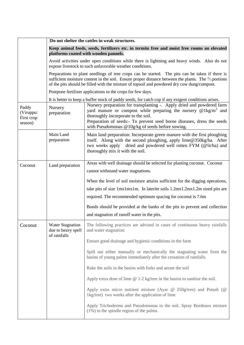|                                                                                                   | Do not shelter the cattles in weak structures.                                                                                       |                                                                                                                                                                                                                                                                                                                  |  |  |  |
|---------------------------------------------------------------------------------------------------|--------------------------------------------------------------------------------------------------------------------------------------|------------------------------------------------------------------------------------------------------------------------------------------------------------------------------------------------------------------------------------------------------------------------------------------------------------------|--|--|--|
|                                                                                                   | Keep animal feeds, seeds, fertilizers etc. in termite free and moist free rooms on elevated<br>platforms coated with wooden pannels. |                                                                                                                                                                                                                                                                                                                  |  |  |  |
|                                                                                                   |                                                                                                                                      | Avoid activities under open conditions while there is lightning and heavy winds. Also do not<br>expose livestock to such unfavorable weather conditions.                                                                                                                                                         |  |  |  |
|                                                                                                   |                                                                                                                                      | Preparations to plant seedlings of tree crops can be started. The pits can be taken if there is<br>sufficient moisture content in the soil. Ensure proper distance between the plants. The $\frac{2}{3}$ portions<br>of the pits should be filled with the mixture of topsoil and powdered dry cow dung/compost. |  |  |  |
|                                                                                                   |                                                                                                                                      | Postpone fertilizer applications to the crops for few days.                                                                                                                                                                                                                                                      |  |  |  |
|                                                                                                   |                                                                                                                                      | It is better to keep a buffer stock of paddy seeds, for catch cop if any exigent conditions arises.                                                                                                                                                                                                              |  |  |  |
| Paddy<br>(Viruppu:<br>First crop<br>season)                                                       | Nursery<br>preparation                                                                                                               | Nursery preparation for transplanting -. Apply dried and powdered farm<br>yard manure or compost while preparing the nursery $@1kg/m^2$ and<br>thoroughly incorporate to the soil.<br>Preparation of seeds:- To prevent seed borne diseases, dress the seeds<br>with Pseudomonas @10g/kg of seeds before sowing. |  |  |  |
|                                                                                                   | Main Land<br>preparation                                                                                                             | Main land preparation: Incorporate green manure with the first ploughing<br>itself. Along with the second ploughing, apply lime@350kg/ha. After<br>two weeks apply dried and powdered well rotten FYM (@5t/ha) and<br>thoroughly mix it with the soil.                                                           |  |  |  |
| Coconut<br>Land preparation                                                                       |                                                                                                                                      | Areas with well drainage should be selected for planting coconut. Coconut<br>cannot withstand water stagnations.                                                                                                                                                                                                 |  |  |  |
|                                                                                                   |                                                                                                                                      | When the level of soil moisture attains sufficient for the digging operations,                                                                                                                                                                                                                                   |  |  |  |
|                                                                                                   |                                                                                                                                      | take pits of size 1mx1mx1m. In laterite soils 1.2mx1.2mx1.2m sized pits are                                                                                                                                                                                                                                      |  |  |  |
|                                                                                                   |                                                                                                                                      | required. The recommended optimum spacing for coconut is 7.6m                                                                                                                                                                                                                                                    |  |  |  |
|                                                                                                   |                                                                                                                                      | Bunds should be provided at the banks of the pits to prevent and collection                                                                                                                                                                                                                                      |  |  |  |
|                                                                                                   |                                                                                                                                      | and stagnation of runoff water in the pits.                                                                                                                                                                                                                                                                      |  |  |  |
| <b>Water Stagnation</b><br>Coconut<br>due to heavy spell<br>and water stagnation:<br>of rainfalls |                                                                                                                                      | The following practices are advised in cases of continuous heavy rainfalls                                                                                                                                                                                                                                       |  |  |  |
|                                                                                                   |                                                                                                                                      | Ensure good drainage and hygienic conditions in the farm                                                                                                                                                                                                                                                         |  |  |  |
|                                                                                                   |                                                                                                                                      | Spill out either manually or mechanically the stagnating water from the<br>basins of young palms immediately after the cessation of rainfalls.                                                                                                                                                                   |  |  |  |
|                                                                                                   |                                                                                                                                      | Rake the soils in the basins with forks and aerate the soil                                                                                                                                                                                                                                                      |  |  |  |
|                                                                                                   |                                                                                                                                      | Apply extra dose of lime $@ 1-2$ kg/tree in the basins to sanitize the soil.                                                                                                                                                                                                                                     |  |  |  |
|                                                                                                   |                                                                                                                                      | Apply extra micro nutrient mixture (Ayar $\omega$ 250g/tree) and Potash ( $\omega$<br>1kg/tree) two weeks after the application of lime                                                                                                                                                                          |  |  |  |
|                                                                                                   |                                                                                                                                      | Apply Trichoderma and Pseudomonas to the soil. Spray Bordeaux mixture<br>$(1%)$ to the spindle region of the palms.                                                                                                                                                                                              |  |  |  |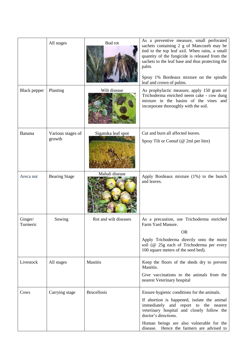|                     | All stages                  | Bud rot               | As a preventive measure, small perforated<br>sachets containing 2 g of Mancozeb may be<br>tied to the top leaf axil. When rains, a small<br>quantity of the fungicide is released from the<br>sachets to the leaf base and thus protecting the<br>palm.<br>Spray 1% Bordeaux mixture on the spindle<br>leaf and crown of palms. |
|---------------------|-----------------------------|-----------------------|---------------------------------------------------------------------------------------------------------------------------------------------------------------------------------------------------------------------------------------------------------------------------------------------------------------------------------|
| <b>Black</b> pepper | Planting                    | Wilt disease          | As prophylactic measure, apply 150 gram of<br>Trichoderma enriched neem cake - cow dung<br>mixture in the basins of the vines and<br>incorporate thoroughly with the soil.                                                                                                                                                      |
| Banana              | Various stages of<br>growth | Sigatoka leaf spot    | Cut and burn all affected leaves.<br>Spray Tilt or Contaf (@ 2ml per litre)                                                                                                                                                                                                                                                     |
| Areca nut           | <b>Bearing Stage</b>        | Mahali disease        | Apply Bordeaux mixture (1%) to the bunch<br>and leaves.                                                                                                                                                                                                                                                                         |
| Ginger/<br>Turmeric | Sowing                      | Rot and wilt diseases | As a precaution, use Trichoderma enriched<br>Farm Yard Manure.<br><b>OR</b><br>Apply Trichoderma directly onto the moist<br>soil (@ 25g each of Trichoderma per every<br>100 square meters of the seed bed).                                                                                                                    |
| Livestock           | All stages                  | Mastitis              | Keep the floors of the sheds dry to prevent<br>Mastitis.<br>Give vaccinations to the animals from the<br>nearest Veterinary hospital                                                                                                                                                                                            |
| Cows                | Carrying stage              | <b>Brucellosis</b>    | Ensure hygienic conditions for the animals.<br>If abortion is happened, isolate the animal<br>immediately and report to the nearest<br>veterinary hospital and closely follow the<br>doctor's directions.<br>Human beings are also vulnerable for the<br>disease. Hence the farmers are advised to                              |